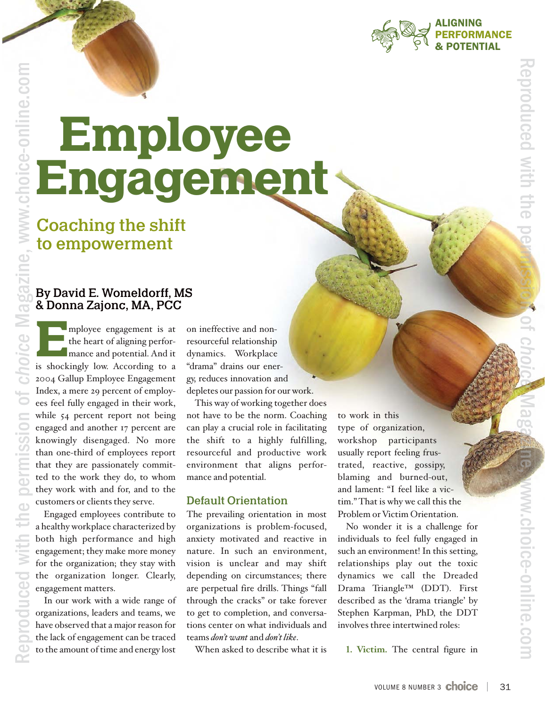

# Employee Engagement

Coaching the shift to empowerment

### By David E. Womeldorff, MS & Donna Zajonc, MA, PCC

Employee engagement is at<br>the heart of aligning perfor-<br>mance and potential. And it<br>is shockingly low According to a the heart of aligning performance and potential. And it is shockingly low. According to a 2004 Gallup Employee Engagement Index, a mere 29 percent of employees feel fully engaged in their work, while 54 percent report not being engaged and another 17 percent are knowingly disengaged. No more than one-third of employees report that they are passionately committed to the work they do, to whom they work with and for, and to the customers or clients they serve.

Engaged employees contribute to a healthy workplace characterized by both high performance and high engagement; they make more money for the organization; they stay with the organization longer. Clearly, engagement matters.

In our work with a wide range of organizations, leaders and teams, we have observed that a major reason for the lack of engagement can be traced to the amount of time and energy lost

Re

produced with the

poduce

permission o

f *c*

*hoice* Ma

gazine, www.c

hoice -

onlin

e.co

 $\Xi$ 

on ineffective and nonresourceful relationship dynamics. Workplace "drama" drains our energy, reduces innovation and depletes our passion for our work.

This way of working together does not have to be the norm. Coaching can play a crucial role in facilitating the shift to a highly fulfilling, resourceful and productive work environment that aligns performance and potential.

#### Default Orientation

The prevailing orientation in most organizations is problem-focused, anxiety motivated and reactive in nature. In such an environment, vision is unclear and may shift depending on circumstances; there are perpetual fire drills. Things "fall through the cracks" or take forever to get to completion, and conversations center on what individuals and teams *don't want* and *don't like*.

When asked to describe what it is

to work in this type of organization, workshop participants usually report feeling frustrated, reactive, gossipy, blaming and burned-out, and lament: "I feel like a victim." That is why we call this the Problem or Victim Orientation.

No wonder it is a challenge for individuals to feel fully engaged in such an environment! In this setting, relationships play out the toxic dynamics we call the Dreaded Drama Triangle™ (DDT). First described as the 'drama triangle' by Stephen Karpman, PhD, the DDT involves three intertwined roles:

**<sup>1</sup>. Victim.** The central figure in

sio n d o  $\rightarrow$ *c h o i c e* M a go. a zin

e,

www

 $\Rightarrow$ 

choice-online.co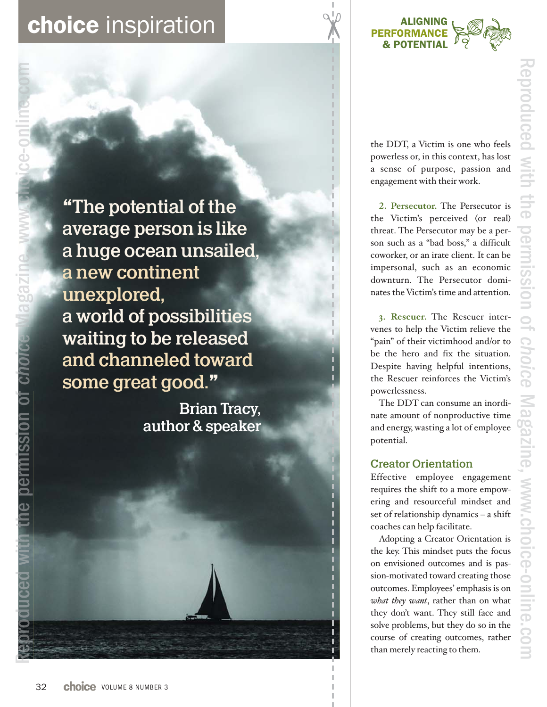### **choice** inspiration



**"**The potential of the average person is like a huge ocean unsailed , a new continent unexplored, a world of possibilities waiting to be released and channeled toward some great good. **"**

> Brian Tracy, author & speaker

the DDT, a Victim is one who feels powerless or, in this context, has lost a sense of purpose, passion and engagement with their work.

**<sup>2</sup>. Persecutor.** The Persecutor is the Victim's perceived (or real) threat. The Persecutor may be a person such as a "bad boss," a difficult coworker, or an irate client. It can be impersonal, such as an economic downturn. The Persecutor dominates the Victim's time and attention.

**3. Rescuer.** The Rescuer intervenes to help the Victim relieve the "pain" of their victimhood and/or to be the hero and fix the situation. Despite having helpful intentions, the Rescuer reinforces the Victim's powerlessness.

The DDT can consume an inordinate amount of nonproductive time and energy, wasting a lot of employee potential.

### Creator Orientation

Effective employee engagement requires the shift to a more empowering and resourceful mindset and set of relationship dynamics – a shift coaches can help facilitate.

Adopting a Creator Orientation is the key. This mindset puts the focus on envisioned outcomes and is passion-motivated toward creating those outcomes. Employees' emphasis is on *what they want*, rather than on what they don't want. They still face and solve problems, but they do so in the course of creating outcomes, rather than merely reacting to them.

Reproduced with the permission of *h i c o ce* Mg i a az ne, www h i li .choice-online.com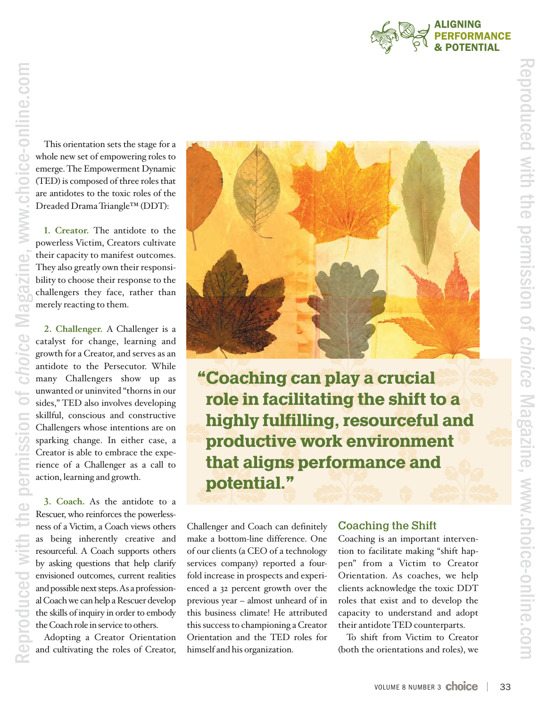

This orientation sets the stage for a whole new set of empowering roles to emerge. The Empowerment Dynamic (TED) is composed of three roles that are antidotes to the toxic roles of the Dreaded Drama Triangle™ (DDT):

**<sup>1</sup>. Creator.** The antidote to the powerless Victim, Creators cultivate their capacity to manifest outcomes. They also greatly own their responsibility to choose their response to the challengers they face, rather than merely reacting to them.

**<sup>2</sup>. Challenger.** A Challenger is a catalyst for change, learning and growth for a Creator, and serves as an antidote to the Persecutor. While many Challengers show up as unwanted or uninvited "thorns in our sides," TED also involves developing skillful, conscious and constructive Challengers whose intentions are on sparking change. In either case, a Creator is able to embrace the experience of a Challenger as a call to action, learning and growth.

**<sup>3</sup>. Coach.** As the antidote to a Rescuer, who reinforces the powerlessness of a Victim, a Coach views others as being inherently creative and resourceful. A Coach supports others by asking questions that help clarify envisioned outcomes, current realities and possible next steps. As a professional Coach we can help a Rescuer develop the skills of inquiry in order to embody the Coach role in service to others.

Adopting a Creator Orientation and cultivating the roles of Creator,



**"**Coaching can play a crucial role in facilitating the shift to a highly fulfilling, resourceful and productive work environment that aligns performance and potential.**"**

Challenger and Coach can definitely make a bottom-line difference. One of our clients (a CEO of a technology services company) reported a fourfold increase in prospects and experienced a 32 percent growth over the previous year – almost unheard of in this business climate! He attributed this success to championing a Creator Orientation and the TED roles for himself and his organization.

### Coaching the Shift

Coaching is an important intervention to facilitate making "shift happen" from a Victim to Creator Orientation. As coaches, we help clients acknowledge the toxic DDT roles that exist and to develop the capacity to understand and adopt their antidote TED counterparts.

To shift from Victim to Creator (both the orientations and roles), we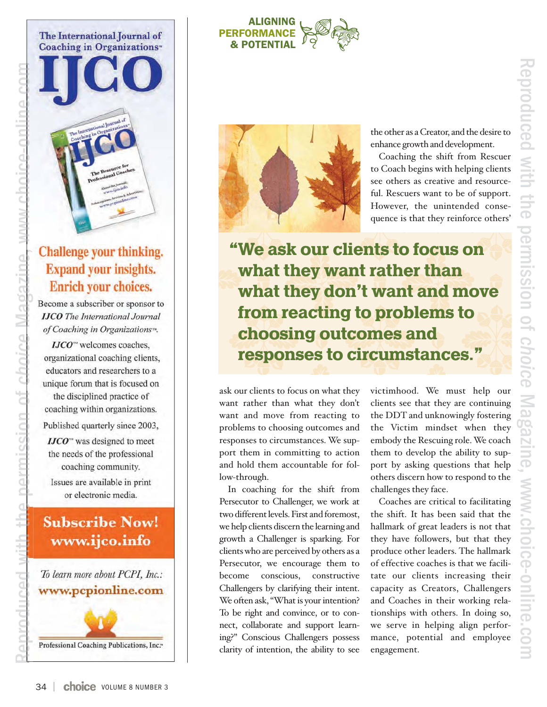# Reproduced withthe<br>P permission $\overline{Q}$ *choice* Magazine, www.choice-online.com





### Challenge your thinking. **Expand your insights.** Enrich your choices.

Become a subscriber or sponsor to **IJCO** The International Journal of Coaching in Organizations<sup>104</sup>.

**IJCO<sup>™</sup>** welcomes coaches, organizational coaching clients, educators and researchers to a unique forum that is focused on the disciplined practice of coaching within organizations. Published quarterly since 2003,  $IJCO<sup>**</sup>$  was designed to meet the needs of the professional coaching community.

Reproduced with the permission of *choice* Magazine Magazine, www choice-online com .choice online.comchoice online

ssinn of choice M

nermi

d

euizege

Issues are available in print or electronic media.

### **Subscribe Now!** www.ijco.info

To learn more about PCPI, Inc.: www.pcpionline.com

Professional Coaching Publications, Inc.<sup>26</sup>

### **ALIGNING PERFORMANCE & POTENTIAL**



the other as a Creator, and the desire to enhance growth and development.

Coaching the shift from Rescuer to Coach begins with helping clients see others as creative and resourceful. Rescuers want to be of support. However, the unintended consequence is that they reinforce others'

**"**We ask our clients to focus on what they want rather than what they don **'**t want and move from reacting to problems to choosing outcomes and responses to circumstances. **"**

ask our clients to focus on what they want rather than what they don't want and move from reacting to problems to choosing outcomes and responses to circumstances. We support them in committing to action and hold them accountable for follow-through.

In coaching for the shift from Persecutor to Challenger, we work at two different levels. First and foremost, we help clients discern the learning and growth a Challenger is sparking. For clients who are perceived by others as a Persecutor, we encourage them to become conscious, constructive Challengers by clarifying their intent. We often ask, "What is your intention? To be right and convince, or to connect, collaborate and support learning?" Conscious Challengers possess clarity of intention, the ability to see

victimhood. We must help our clients see that they are continuing the DDT and unknowingly fostering the Victim mindset when they embody the Rescuing role. We coach them to develop the ability to support by asking questions that help others discern how to respond to the challenges they face.

Coaches are critical to facilitating the shift. It has been said that the hallmark of great leaders is not that they have followers, but that they produce other leaders. The hallmark of effective coaches is that we facilitate our clients increasing their capacity as Creators, Challengers and Coaches in their working relationships with others. In doing so, we serve in helping align performance, potential and employee engagement.